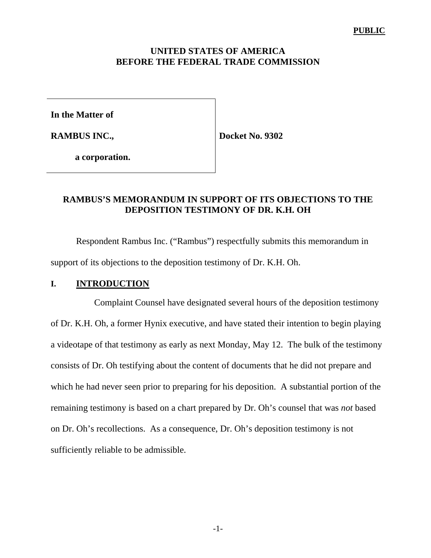## **UNITED STATES OF AMERICA BEFORE THE FEDERAL TRADE COMMISSION**

**In the Matter of**

**RAMBUS INC.,**

**Docket No. 9302**

**a corporation.**

# **RAMBUS'S MEMORANDUM IN SUPPORT OF ITS OBJECTIONS TO THE DEPOSITION TESTIMONY OF DR. K.H. OH**

Respondent Rambus Inc. ("Rambus") respectfully submits this memorandum in support of its objections to the deposition testimony of Dr. K.H. Oh.

## **I. INTRODUCTION**

 Complaint Counsel have designated several hours of the deposition testimony of Dr. K.H. Oh, a former Hynix executive, and have stated their intention to begin playing a videotape of that testimony as early as next Monday, May 12. The bulk of the testimony consists of Dr. Oh testifying about the content of documents that he did not prepare and which he had never seen prior to preparing for his deposition. A substantial portion of the remaining testimony is based on a chart prepared by Dr. Oh's counsel that was *not* based on Dr. Oh's recollections. As a consequence, Dr. Oh's deposition testimony is not sufficiently reliable to be admissible.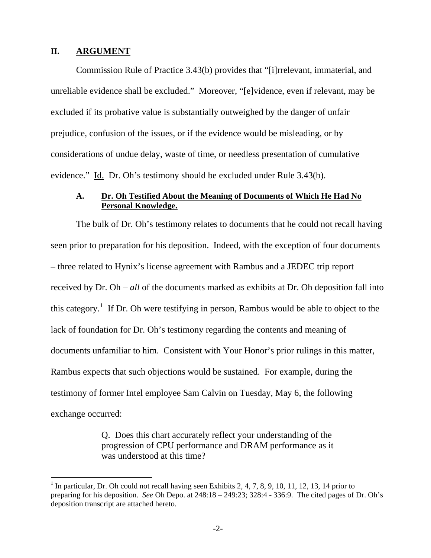#### **II. ARGUMENT**

 $\overline{a}$ 

Commission Rule of Practice 3.43(b) provides that "[i]rrelevant, immaterial, and unreliable evidence shall be excluded." Moreover, "[e]vidence, even if relevant, may be excluded if its probative value is substantially outweighed by the danger of unfair prejudice, confusion of the issues, or if the evidence would be misleading, or by considerations of undue delay, waste of time, or needless presentation of cumulative evidence." Id. Dr. Oh's testimony should be excluded under Rule 3.43(b).

#### **A. Dr. Oh Testified About the Meaning of Documents of Which He Had No Personal Knowledge.**

The bulk of Dr. Oh's testimony relates to documents that he could not recall having seen prior to preparation for his deposition. Indeed, with the exception of four documents – three related to Hynix's license agreement with Rambus and a JEDEC trip report received by Dr. Oh – *all* of the documents marked as exhibits at Dr. Oh deposition fall into this category.<sup>1</sup> If Dr. Oh were testifying in person, Rambus would be able to object to the lack of foundation for Dr. Oh's testimony regarding the contents and meaning of documents unfamiliar to him. Consistent with Your Honor's prior rulings in this matter, Rambus expects that such objections would be sustained. For example, during the testimony of former Intel employee Sam Calvin on Tuesday, May 6, the following exchange occurred:

> Q. Does this chart accurately reflect your understanding of the progression of CPU performance and DRAM performance as it was understood at this time?

<sup>&</sup>lt;sup>1</sup> In particular, Dr. Oh could not recall having seen Exhibits 2, 4, 7, 8, 9, 10, 11, 12, 13, 14 prior to preparing for his deposition. *See* Oh Depo. at 248:18 – 249:23; 328:4 - 336:9. The cited pages of Dr. Oh's deposition transcript are attached hereto.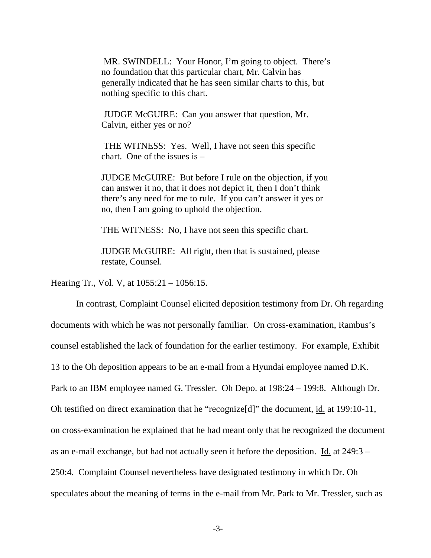MR. SWINDELL: Your Honor, I'm going to object. There's no foundation that this particular chart, Mr. Calvin has generally indicated that he has seen similar charts to this, but nothing specific to this chart.

 JUDGE McGUIRE: Can you answer that question, Mr. Calvin, either yes or no?

 THE WITNESS: Yes. Well, I have not seen this specific chart. One of the issues is –

JUDGE McGUIRE: But before I rule on the objection, if you can answer it no, that it does not depict it, then I don't think there's any need for me to rule. If you can't answer it yes or no, then I am going to uphold the objection.

THE WITNESS: No, I have not seen this specific chart.

JUDGE McGUIRE: All right, then that is sustained, please restate, Counsel.

Hearing Tr., Vol. V, at 1055:21 – 1056:15.

In contrast, Complaint Counsel elicited deposition testimony from Dr. Oh regarding documents with which he was not personally familiar. On cross-examination, Rambus's counsel established the lack of foundation for the earlier testimony. For example, Exhibit 13 to the Oh deposition appears to be an e-mail from a Hyundai employee named D.K. Park to an IBM employee named G. Tressler. Oh Depo. at 198:24 – 199:8. Although Dr. Oh testified on direct examination that he "recognize<sup>[d]"</sup> the document, <u>id.</u> at 199:10-11, on cross-examination he explained that he had meant only that he recognized the document as an e-mail exchange, but had not actually seen it before the deposition. Id. at  $249:3 -$ 250:4. Complaint Counsel nevertheless have designated testimony in which Dr. Oh speculates about the meaning of terms in the e-mail from Mr. Park to Mr. Tressler, such as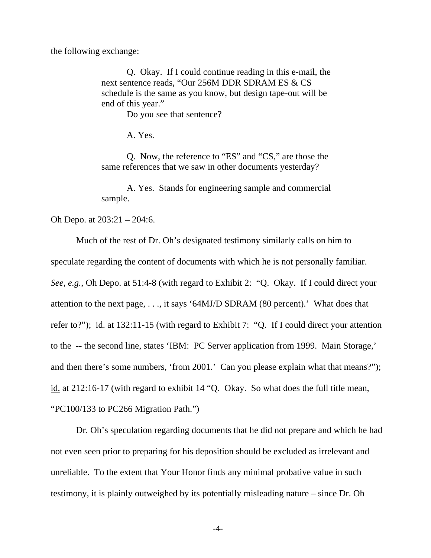the following exchange:

Q. Okay. If I could continue reading in this e-mail, the next sentence reads, "Our 256M DDR SDRAM ES & CS schedule is the same as you know, but design tape-out will be end of this year."

Do you see that sentence?

A. Yes.

Q. Now, the reference to "ES" and "CS," are those the same references that we saw in other documents yesterday?

A. Yes. Stands for engineering sample and commercial sample.

Oh Depo. at 203:21 – 204:6.

Much of the rest of Dr. Oh's designated testimony similarly calls on him to speculate regarding the content of documents with which he is not personally familiar. *See*, *e.g.*, Oh Depo. at 51:4-8 (with regard to Exhibit 2: "Q. Okay. If I could direct your attention to the next page, . . ., it says '64MJ/D SDRAM (80 percent).' What does that refer to?"); id. at 132:11-15 (with regard to Exhibit 7: "Q. If I could direct your attention to the -- the second line, states 'IBM: PC Server application from 1999. Main Storage,' and then there's some numbers, 'from 2001.' Can you please explain what that means?"); id. at 212:16-17 (with regard to exhibit 14 "Q. Okay. So what does the full title mean, "PC100/133 to PC266 Migration Path.")

Dr. Oh's speculation regarding documents that he did not prepare and which he had not even seen prior to preparing for his deposition should be excluded as irrelevant and unreliable. To the extent that Your Honor finds any minimal probative value in such testimony, it is plainly outweighed by its potentially misleading nature – since Dr. Oh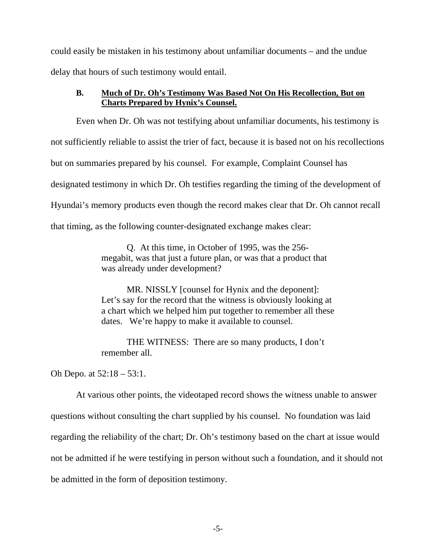could easily be mistaken in his testimony about unfamiliar documents – and the undue delay that hours of such testimony would entail.

## **B. Much of Dr. Oh's Testimony Was Based Not On His Recollection, But on Charts Prepared by Hynix's Counsel.**

Even when Dr. Oh was not testifying about unfamiliar documents, his testimony is not sufficiently reliable to assist the trier of fact, because it is based not on his recollections but on summaries prepared by his counsel. For example, Complaint Counsel has designated testimony in which Dr. Oh testifies regarding the timing of the development of Hyundai's memory products even though the record makes clear that Dr. Oh cannot recall that timing, as the following counter-designated exchange makes clear:

> Q. At this time, in October of 1995, was the 256 megabit, was that just a future plan, or was that a product that was already under development?

MR. NISSLY [counsel for Hynix and the deponent]: Let's say for the record that the witness is obviously looking at a chart which we helped him put together to remember all these dates. We're happy to make it available to counsel.

THE WITNESS: There are so many products, I don't remember all.

Oh Depo. at 52:18 – 53:1.

At various other points, the videotaped record shows the witness unable to answer questions without consulting the chart supplied by his counsel. No foundation was laid regarding the reliability of the chart; Dr. Oh's testimony based on the chart at issue would not be admitted if he were testifying in person without such a foundation, and it should not be admitted in the form of deposition testimony.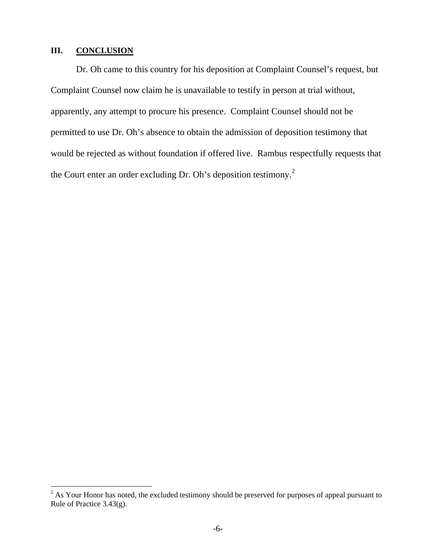## **III. CONCLUSION**

Dr. Oh came to this country for his deposition at Complaint Counsel's request, but Complaint Counsel now claim he is unavailable to testify in person at trial without, apparently, any attempt to procure his presence. Complaint Counsel should not be permitted to use Dr. Oh's absence to obtain the admission of deposition testimony that would be rejected as without foundation if offered live. Rambus respectfully requests that the Court enter an order excluding Dr. Oh's deposition testimony.<sup>2</sup>

<sup>&</sup>lt;sup>2</sup> As Your Honor has noted, the excluded testimony should be preserved for purposes of appeal pursuant to Rule of Practice 3.43(g).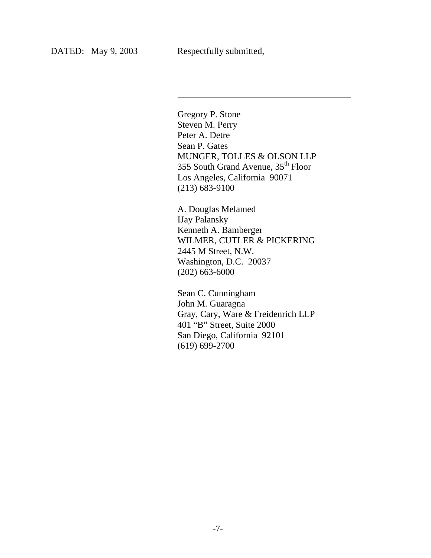l

Gregory P. Stone Steven M. Perry Peter A. Detre Sean P. Gates MUNGER, TOLLES & OLSON LLP 355 South Grand Avenue, 35<sup>th</sup> Floor Los Angeles, California 90071 (213) 683-9100

A. Douglas Melamed IJay Palansky Kenneth A. Bamberger WILMER, CUTLER & PICKERING 2445 M Street, N.W. Washington, D.C. 20037 (202) 663-6000

Sean C. Cunningham John M. Guaragna Gray, Cary, Ware & Freidenrich LLP 401 "B" Street, Suite 2000 San Diego, California 92101 (619) 699-2700